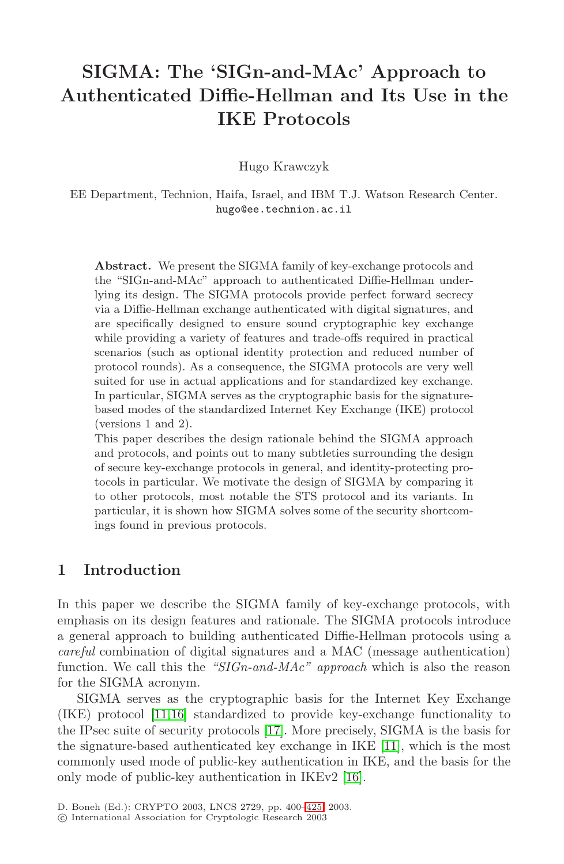# **SIGMA: The 'SIGn-and-MAc' Approach to Authenticated Diffie-Hellman and Its Use in the IKE Protocols**

Hugo Krawczyk

EE Department, Technion, Haifa, Israel, and IBM T.J. Watson Research Center. hugo@ee.technion.ac.il

**Abstract.** We present the SIGMA family of key-exchange protocols and the "SIGn-and-MAc" approach to authenticated Diffie-Hellman underlying its design. The SIGMA protocols provide perfect forward secrecy via a Diffie-Hellman exchange authenticated with digital signatures, and are specifically designed to ensure sound cryptographic key exchange while providing a variety of features and trade-offs required in practical scenarios (such as optional identity protection and reduced number of protocol rounds). As a consequence, the SIGMA protocols are very well suited for use in actual applications and for standardized key exchange. In particular, SIGMA serves as the cryptographic basis for the signaturebased modes of the standardized Internet Key Exchange (IKE) protocol (versions 1 and 2).

This paper describes the design rationale behind the SIGMA approach and protocols, and points out to many subtleties surrounding the design of secure key-exchange protocols in general, and identity-protecting protocols in particular. We motivate the design of SIGMA by comparing it to other protocols, most notable the STS protocol and its variants. In particular, it is shown how SIGMA solves some of the security shortcomings found in previous protocols.

# **1 Introduction**

In this paper we describe the SIGMA family of key-exchange protocols, with emphasis on its design features and rationale. The SIGMA protocols introduce a general approach to building authenticated Diffie-Hellman protocols using a *careful* combination of digital signatures and a MAC (message authentication) function. We call this the *"SIGn-and-MAc" approach* which is also the reason for the SIGMA acronym.

SIGMA serves as the cryptographic basis for the Internet Key Exchange (IKE) protocol [\[11,16\]](#page-24-0) standardized to provide key-exchange functionality to the IPsec suite of security protocols [\[17\]](#page-24-0). More precisely, SIGMA is the basis for the signature-based authenticated key exchange in IKE [\[11\]](#page-24-0), which is the most commonly used mode of public-key authentication in IKE, and the basis for the only mode of public-key authentication in IKEv2 [\[16\]](#page-24-0).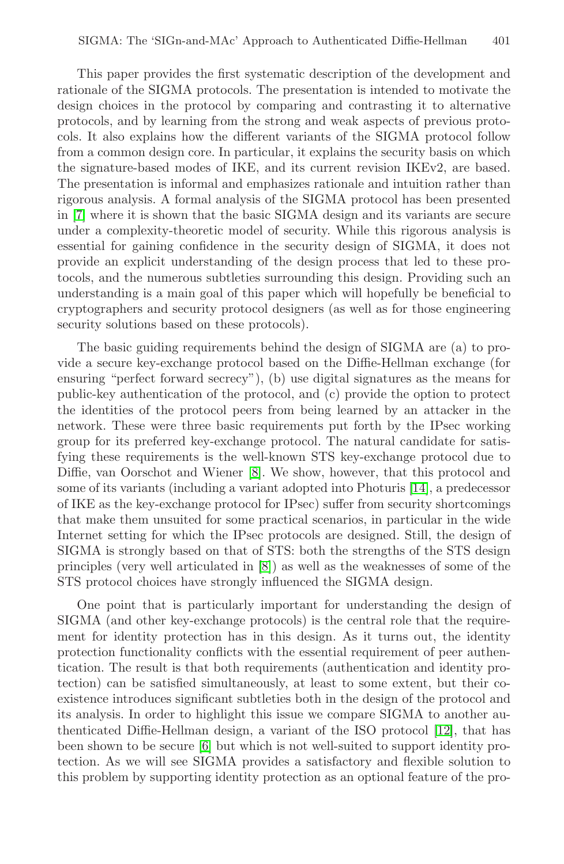This paper provides the first systematic description of the development and rationale of the SIGMA protocols. The presentation is intended to motivate the design choices in the protocol by comparing and contrasting it to alternative protocols, and by learning from the strong and weak aspects of previous protocols. It also explains how the different variants of the SIGMA protocol follow from a common design core. In particular, it explains the security basis on which the signature-based modes of IKE, and its current revision IKEv2, are based. The presentation is informal and emphasizes rationale and intuition rather than rigorous analysis. A formal analysis of the SIGMA protocol has been presented in [\[7\]](#page-24-0) where it is shown that the basic SIGMA design and its variants are secure under a complexity-theoretic model of security. While this rigorous analysis is essential for gaining confidence in the security design of SIGMA, it does not provide an explicit understanding of the design process that led to these protocols, and the numerous subtleties surrounding this design. Providing such an understanding is a main goal of this paper which will hopefully be beneficial to cryptographers and security protocol designers (as well as for those engineering security solutions based on these protocols).

The basic guiding requirements behind the design of SIGMA are (a) to provide a secure key-exchange protocol based on the Diffie-Hellman exchange (for ensuring "perfect forward secrecy"), (b) use digital signatures as the means for public-key authentication of the protocol, and (c) provide the option to protect the identities of the protocol peers from being learned by an attacker in the network. These were three basic requirements put forth by the IPsec working group for its preferred key-exchange protocol. The natural candidate for satisfying these requirements is the well-known STS key-exchange protocol due to Diffie, van Oorschot and Wiener [\[8\]](#page-24-0). We show, however, that this protocol and some of its variants (including a variant adopted into Photuris [\[14\]](#page-24-0), a predecessor of IKE as the key-exchange protocol for IPsec) suffer from security shortcomings that make them unsuited for some practical scenarios, in particular in the wide Internet setting for which the IPsec protocols are designed. Still, the design of SIGMA is strongly based on that of STS: both the strengths of the STS design principles (very well articulated in [\[8\]](#page-24-0)) as well as the weaknesses of some of the STS protocol choices have strongly influenced the SIGMA design.

One point that is particularly important for understanding the design of SIGMA (and other key-exchange protocols) is the central role that the requirement for identity protection has in this design. As it turns out, the identity protection functionality conflicts with the essential requirement of peer authentication. The result is that both requirements (authentication and identity protection) can be satisfied simultaneously, at least to some extent, but their coexistence introduces significant subtleties both in the design of the protocol and its analysis. In order to highlight this issue we compare SIGMA to another authenticated Diffie-Hellman design, a variant of the ISO protocol [\[12\]](#page-24-0), that has been shown to be secure [\[6\]](#page-24-0) but which is not well-suited to support identity protection. As we will see SIGMA provides a satisfactory and flexible solution to this problem by supporting identity protection as an optional feature of the pro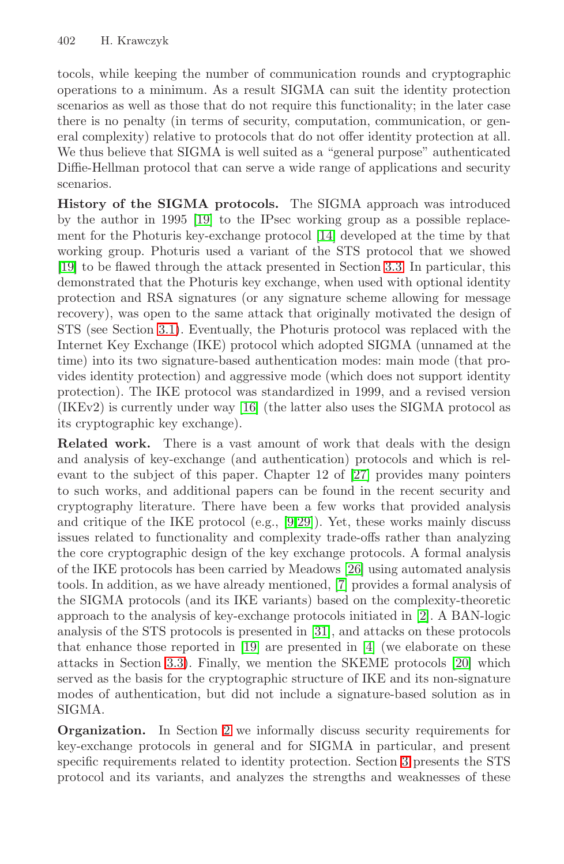tocols, while keeping the number of communication rounds and cryptographic operations to a minimum. As a result SIGMA can suit the identity protection scenarios as well as those that do not require this functionality; in the later case there is no penalty (in terms of security, computation, communication, or general complexity) relative to protocols that do not offer identity protection at all. We thus believe that SIGMA is well suited as a "general purpose" authenticated Diffie-Hellman protocol that can serve a wide range of applications and security scenarios.

**History of the SIGMA protocols.** The SIGMA approach was introduced by the author in 1995 [\[19\]](#page-24-0) to the IPsec working group as a possible replacement for the Photuris key-exchange protocol [\[14\]](#page-24-0) developed at the time by that working group. Photuris used a variant of the STS protocol that we showed [\[19\]](#page-24-0) to be flawed through the attack presented in Section [3.3.](#page-13-0) In particular, this demonstrated that the Photuris key exchange, when used with optional identity protection and RSA signatures (or any signature scheme allowing for message recovery), was open to the same attack that originally motivated the design of STS (see Section [3.1\)](#page-10-0). Eventually, the Photuris protocol was replaced with the Internet Key Exchange (IKE) protocol which adopted SIGMA (unnamed at the time) into its two signature-based authentication modes: main mode (that provides identity protection) and aggressive mode (which does not support identity protection). The IKE protocol was standardized in 1999, and a revised version (IKEv2) is currently under way [\[16\]](#page-24-0) (the latter also uses the SIGMA protocol as its cryptographic key exchange).

**Related work.** There is a vast amount of work that deals with the design and analysis of key-exchange (and authentication) protocols and which is relevant to the subject of this paper. Chapter 12 of [\[27\]](#page-25-0) provides many pointers to such works, and additional papers can be found in the recent security and cryptography literature. There have been a few works that provided analysis and critique of the IKE protocol (e.g., [\[9](#page-24-0)[,29\]](#page-25-0)). Yet, these works mainly discuss issues related to functionality and complexity trade-offs rather than analyzing the core cryptographic design of the key exchange protocols. A formal analysis of the IKE protocols has been carried by Meadows [\[26\]](#page-25-0) using automated analysis tools. In addition, as we have already mentioned, [\[7\]](#page-24-0) provides a formal analysis of the SIGMA protocols (and its IKE variants) based on the complexity-theoretic approach to the analysis of key-exchange protocols initiated in [\[2\]](#page-23-0). A BAN-logic analysis of the STS protocols is presented in [\[31\]](#page-25-0), and attacks on these protocols that enhance those reported in [\[19\]](#page-24-0) are presented in [\[4\]](#page-23-0) (we elaborate on these attacks in Section [3.3\)](#page-13-0). Finally, we mention the SKEME protocols [\[20\]](#page-24-0) which served as the basis for the cryptographic structure of IKE and its non-signature modes of authentication, but did not include a signature-based solution as in SIGMA.

**Organization.** In Section [2](#page-3-0) we informally discuss security requirements for key-exchange protocols in general and for SIGMA in particular, and present specific requirements related to identity protection. Section [3](#page-9-0) presents the STS protocol and its variants, and analyzes the strengths and weaknesses of these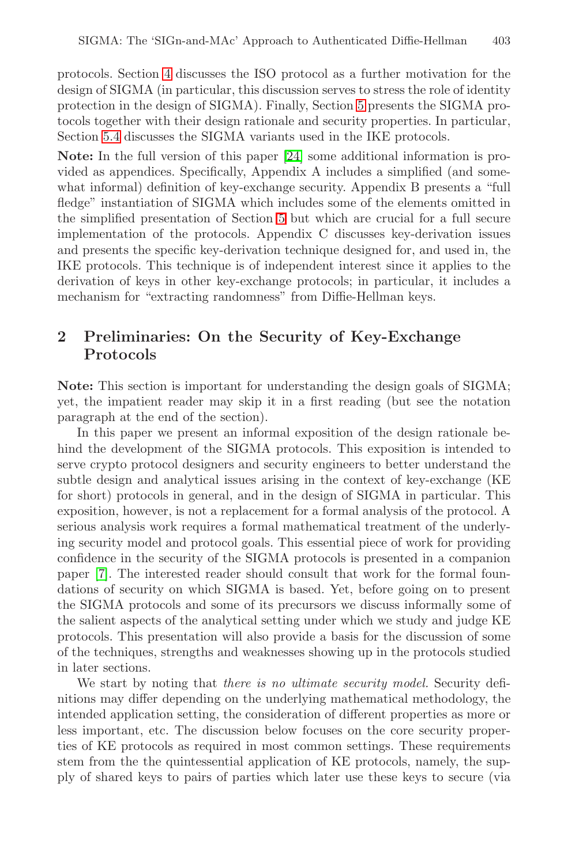<span id="page-3-0"></span>protocols. Section [4](#page-15-0) discusses the ISO protocol as a further motivation for the design of SIGMA (in particular, this discussion serves to stress the role of identity protection in the design of SIGMA). Finally, Section [5](#page-18-0) presents the SIGMA protocols together with their design rationale and security properties. In particular, Section [5.4](#page-22-0) discusses the SIGMA variants used in the IKE protocols.

**Note:** In the full version of this paper [\[24\]](#page-24-0) some additional information is provided as appendices. Specifically, Appendix A includes a simplified (and somewhat informal) definition of key-exchange security. Appendix B presents a "full fledge" instantiation of SIGMA which includes some of the elements omitted in the simplified presentation of Section [5](#page-18-0) but which are crucial for a full secure implementation of the protocols. Appendix C discusses key-derivation issues and presents the specific key-derivation technique designed for, and used in, the IKE protocols. This technique is of independent interest since it applies to the derivation of keys in other key-exchange protocols; in particular, it includes a mechanism for "extracting randomness" from Diffie-Hellman keys.

# **2 Preliminaries: On the Security of Key-Exchange Protocols**

**Note:** This section is important for understanding the design goals of SIGMA; yet, the impatient reader may skip it in a first reading (but see the notation paragraph at the end of the section).

In this paper we present an informal exposition of the design rationale behind the development of the SIGMA protocols. This exposition is intended to serve crypto protocol designers and security engineers to better understand the subtle design and analytical issues arising in the context of key-exchange (KE for short) protocols in general, and in the design of SIGMA in particular. This exposition, however, is not a replacement for a formal analysis of the protocol. A serious analysis work requires a formal mathematical treatment of the underlying security model and protocol goals. This essential piece of work for providing confidence in the security of the SIGMA protocols is presented in a companion paper [\[7\]](#page-24-0). The interested reader should consult that work for the formal foundations of security on which SIGMA is based. Yet, before going on to present the SIGMA protocols and some of its precursors we discuss informally some of the salient aspects of the analytical setting under which we study and judge KE protocols. This presentation will also provide a basis for the discussion of some of the techniques, strengths and weaknesses showing up in the protocols studied in later sections.

We start by noting that *there is no ultimate security model.* Security definitions may differ depending on the underlying mathematical methodology, the intended application setting, the consideration of different properties as more or less important, etc. The discussion below focuses on the core security properties of KE protocols as required in most common settings. These requirements stem from the the quintessential application of KE protocols, namely, the supply of shared keys to pairs of parties which later use these keys to secure (via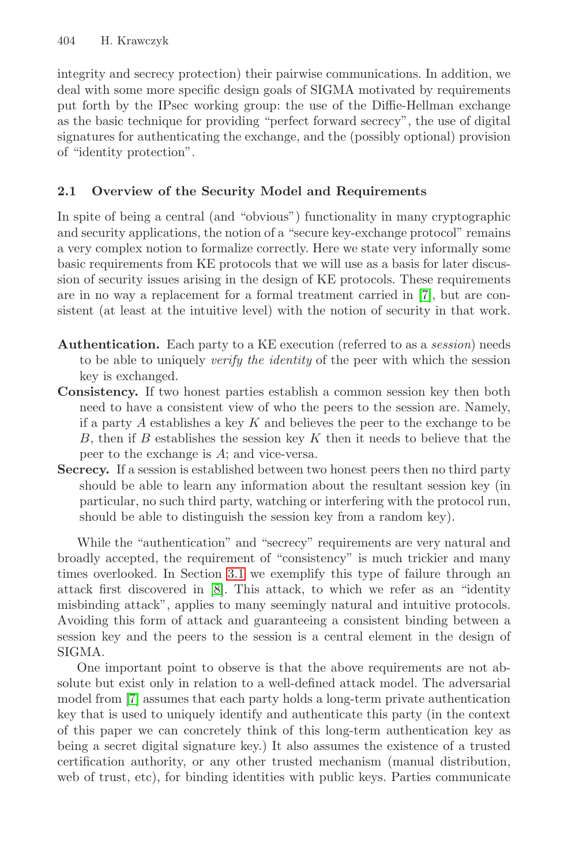<span id="page-4-0"></span>integrity and secrecy protection) their pairwise communications. In addition, we deal with some more specific design goals of SIGMA motivated by requirements put forth by the IPsec working group: the use of the Diffie-Hellman exchange as the basic technique for providing "perfect forward secrecy", the use of digital signatures for authenticating the exchange, and the (possibly optional) provision of "identity protection".

# **2.1 Overview of the Security Model and Requirements**

In spite of being a central (and "obvious") functionality in many cryptographic and security applications, the notion of a "secure key-exchange protocol" remains a very complex notion to formalize correctly. Here we state very informally some basic requirements from KE protocols that we will use as a basis for later discussion of security issues arising in the design of KE protocols. These requirements are in no way a replacement for a formal treatment carried in [\[7\]](#page-24-0), but are consistent (at least at the intuitive level) with the notion of security in that work.

- **Authentication.** Each party to a KE execution (referred to as a *session*) needs to be able to uniquely *verify the identity* of the peer with which the session key is exchanged.
- **Consistency.** If two honest parties establish a common session key then both need to have a consistent view of who the peers to the session are. Namely, if a party  $A$  establishes a key  $K$  and believes the peer to the exchange to be B, then if B establishes the session key K then it needs to believe that the peer to the exchange is A; and vice-versa.
- **Secrecy.** If a session is established between two honest peers then no third party should be able to learn any information about the resultant session key (in particular, no such third party, watching or interfering with the protocol run, should be able to distinguish the session key from a random key).

While the "authentication" and "secrecy" requirements are very natural and broadly accepted, the requirement of "consistency" is much trickier and many times overlooked. In Section [3.1](#page-10-0) we exemplify this type of failure through an attack first discovered in [\[8\]](#page-24-0). This attack, to which we refer as an "identity misbinding attack", applies to many seemingly natural and intuitive protocols. Avoiding this form of attack and guaranteeing a consistent binding between a session key and the peers to the session is a central element in the design of SIGMA.

One important point to observe is that the above requirements are not absolute but exist only in relation to a well-defined attack model. The adversarial model from [\[7\]](#page-24-0) assumes that each party holds a long-term private authentication key that is used to uniquely identify and authenticate this party (in the context of this paper we can concretely think of this long-term authentication key as being a secret digital signature key.) It also assumes the existence of a trusted certification authority, or any other trusted mechanism (manual distribution, web of trust, etc), for binding identities with public keys. Parties communicate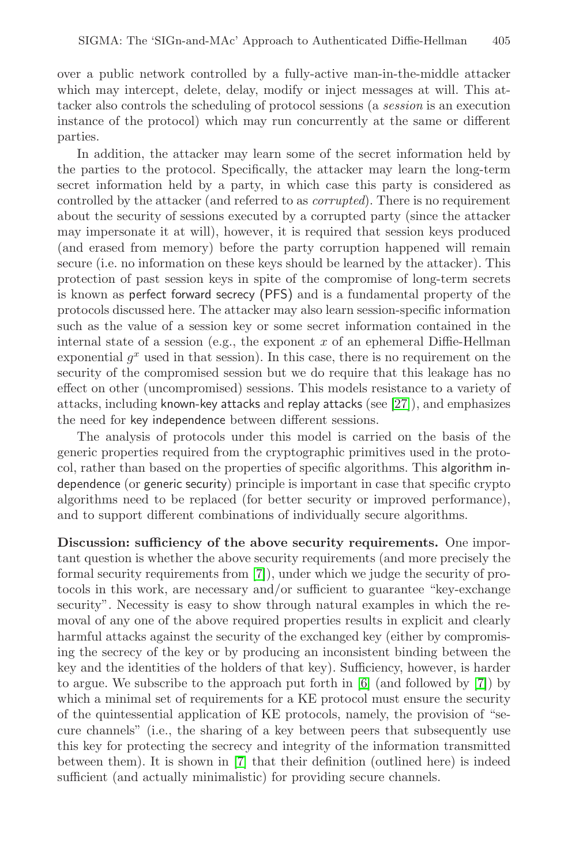over a public network controlled by a fully-active man-in-the-middle attacker which may intercept, delete, delay, modify or inject messages at will. This attacker also controls the scheduling of protocol sessions (a *session* is an execution instance of the protocol) which may run concurrently at the same or different parties.

In addition, the attacker may learn some of the secret information held by the parties to the protocol. Specifically, the attacker may learn the long-term secret information held by a party, in which case this party is considered as controlled by the attacker (and referred to as *corrupted*). There is no requirement about the security of sessions executed by a corrupted party (since the attacker may impersonate it at will), however, it is required that session keys produced (and erased from memory) before the party corruption happened will remain secure (i.e. no information on these keys should be learned by the attacker). This protection of past session keys in spite of the compromise of long-term secrets is known as perfect forward secrecy (PFS) and is a fundamental property of the protocols discussed here. The attacker may also learn session-specific information such as the value of a session key or some secret information contained in the internal state of a session (e.g., the exponent  $x$  of an ephemeral Diffie-Hellman exponential  $g^x$  used in that session). In this case, there is no requirement on the security of the compromised session but we do require that this leakage has no effect on other (uncompromised) sessions. This models resistance to a variety of attacks, including known-key attacks and replay attacks (see [\[27\]](#page-25-0)), and emphasizes the need for key independence between different sessions.

The analysis of protocols under this model is carried on the basis of the generic properties required from the cryptographic primitives used in the protocol, rather than based on the properties of specific algorithms. This algorithm independence (or generic security) principle is important in case that specific crypto algorithms need to be replaced (for better security or improved performance), and to support different combinations of individually secure algorithms.

**Discussion: sufficiency of the above security requirements.** One important question is whether the above security requirements (and more precisely the formal security requirements from [\[7\]](#page-24-0)), under which we judge the security of protocols in this work, are necessary and/or sufficient to guarantee "key-exchange security". Necessity is easy to show through natural examples in which the removal of any one of the above required properties results in explicit and clearly harmful attacks against the security of the exchanged key (either by compromising the secrecy of the key or by producing an inconsistent binding between the key and the identities of the holders of that key). Sufficiency, however, is harder to argue. We subscribe to the approach put forth in [\[6\]](#page-24-0) (and followed by [\[7\]](#page-24-0)) by which a minimal set of requirements for a KE protocol must ensure the security of the quintessential application of KE protocols, namely, the provision of "secure channels" (i.e., the sharing of a key between peers that subsequently use this key for protecting the secrecy and integrity of the information transmitted between them). It is shown in [\[7\]](#page-24-0) that their definition (outlined here) is indeed sufficient (and actually minimalistic) for providing secure channels.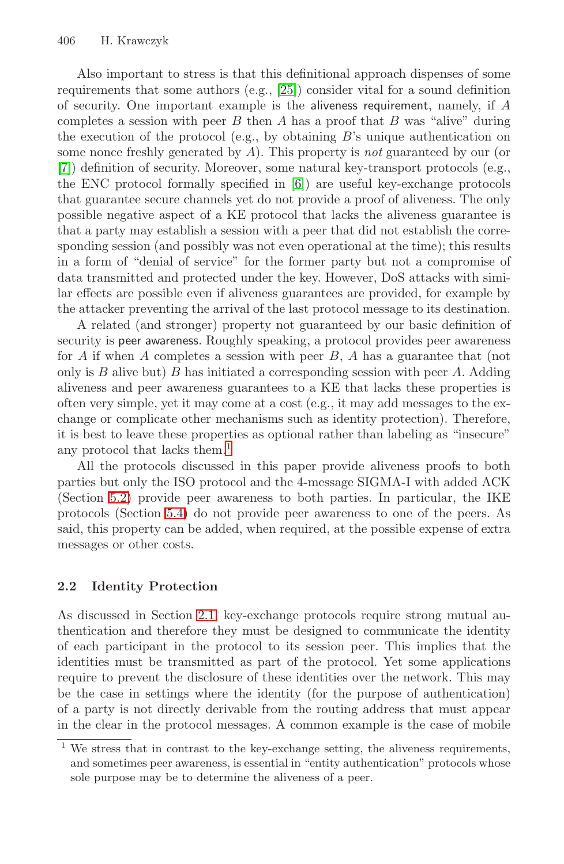<span id="page-6-0"></span>Also important to stress is that this definitional approach dispenses of some requirements that some authors (e.g., [\[25\]](#page-24-0)) consider vital for a sound definition of security. One important example is the aliveness requirement, namely, if A completes a session with peer  $B$  then  $A$  has a proof that  $B$  was "alive" during the execution of the protocol (e.g., by obtaining  $B$ 's unique authentication on some nonce freshly generated by A). This property is *not* guaranteed by our (or [\[7\]](#page-24-0)) definition of security. Moreover, some natural key-transport protocols (e.g., the ENC protocol formally specified in [\[6\]](#page-24-0)) are useful key-exchange protocols that guarantee secure channels yet do not provide a proof of aliveness. The only possible negative aspect of a KE protocol that lacks the aliveness guarantee is that a party may establish a session with a peer that did not establish the corresponding session (and possibly was not even operational at the time); this results in a form of "denial of service" for the former party but not a compromise of data transmitted and protected under the key. However, DoS attacks with similar effects are possible even if aliveness guarantees are provided, for example by the attacker preventing the arrival of the last protocol message to its destination.

A related (and stronger) property not guaranteed by our basic definition of security is peer awareness. Roughly speaking, a protocol provides peer awareness for A if when A completes a session with peer  $B$ , A has a guarantee that (not only is  $B$  alive but)  $B$  has initiated a corresponding session with peer  $A$ . Adding aliveness and peer awareness guarantees to a KE that lacks these properties is often very simple, yet it may come at a cost (e.g., it may add messages to the exchange or complicate other mechanisms such as identity protection). Therefore, it is best to leave these properties as optional rather than labeling as "insecure" any protocol that lacks them.<sup>1</sup>

All the protocols discussed in this paper provide aliveness proofs to both parties but only the ISO protocol and the 4-message SIGMA-I with added ACK (Section [5.2\)](#page-20-0) provide peer awareness to both parties. In particular, the IKE protocols (Section [5.4\)](#page-22-0) do not provide peer awareness to one of the peers. As said, this property can be added, when required, at the possible expense of extra messages or other costs.

### **2.2 Identity Protection**

As discussed in Section [2.1,](#page-4-0) key-exchange protocols require strong mutual authentication and therefore they must be designed to communicate the identity of each participant in the protocol to its session peer. This implies that the identities must be transmitted as part of the protocol. Yet some applications require to prevent the disclosure of these identities over the network. This may be the case in settings where the identity (for the purpose of authentication) of a party is not directly derivable from the routing address that must appear in the clear in the protocol messages. A common example is the case of mobile

 $1$  We stress that in contrast to the key-exchange setting, the aliveness requirements, and sometimes peer awareness, is essential in "entity authentication" protocols whose sole purpose may be to determine the aliveness of a peer.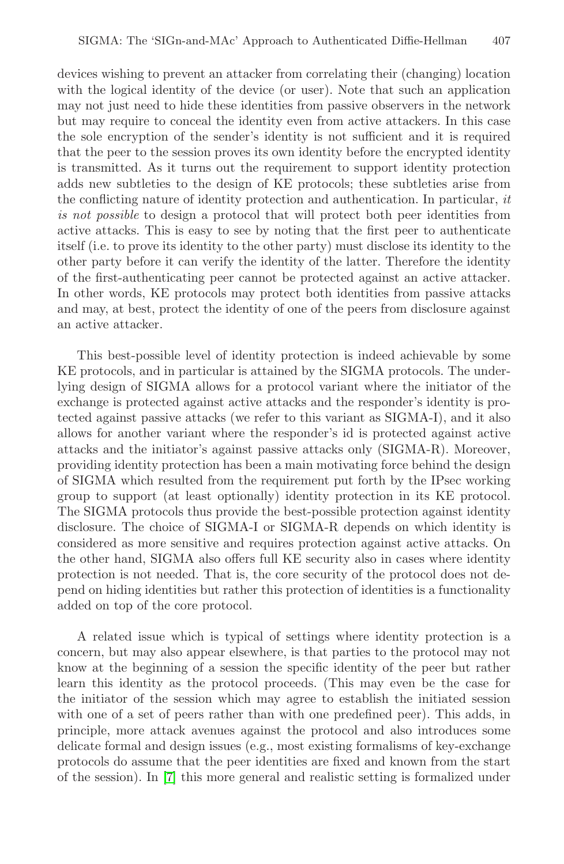devices wishing to prevent an attacker from correlating their (changing) location with the logical identity of the device (or user). Note that such an application may not just need to hide these identities from passive observers in the network but may require to conceal the identity even from active attackers. In this case the sole encryption of the sender's identity is not sufficient and it is required that the peer to the session proves its own identity before the encrypted identity is transmitted. As it turns out the requirement to support identity protection adds new subtleties to the design of KE protocols; these subtleties arise from the conflicting nature of identity protection and authentication. In particular, *it is not possible* to design a protocol that will protect both peer identities from active attacks. This is easy to see by noting that the first peer to authenticate itself (i.e. to prove its identity to the other party) must disclose its identity to the other party before it can verify the identity of the latter. Therefore the identity of the first-authenticating peer cannot be protected against an active attacker. In other words, KE protocols may protect both identities from passive attacks and may, at best, protect the identity of one of the peers from disclosure against an active attacker.

This best-possible level of identity protection is indeed achievable by some KE protocols, and in particular is attained by the SIGMA protocols. The underlying design of SIGMA allows for a protocol variant where the initiator of the exchange is protected against active attacks and the responder's identity is protected against passive attacks (we refer to this variant as SIGMA-I), and it also allows for another variant where the responder's id is protected against active attacks and the initiator's against passive attacks only (SIGMA-R). Moreover, providing identity protection has been a main motivating force behind the design of SIGMA which resulted from the requirement put forth by the IPsec working group to support (at least optionally) identity protection in its KE protocol. The SIGMA protocols thus provide the best-possible protection against identity disclosure. The choice of SIGMA-I or SIGMA-R depends on which identity is considered as more sensitive and requires protection against active attacks. On the other hand, SIGMA also offers full KE security also in cases where identity protection is not needed. That is, the core security of the protocol does not depend on hiding identities but rather this protection of identities is a functionality added on top of the core protocol.

A related issue which is typical of settings where identity protection is a concern, but may also appear elsewhere, is that parties to the protocol may not know at the beginning of a session the specific identity of the peer but rather learn this identity as the protocol proceeds. (This may even be the case for the initiator of the session which may agree to establish the initiated session with one of a set of peers rather than with one predefined peer). This adds, in principle, more attack avenues against the protocol and also introduces some delicate formal and design issues (e.g., most existing formalisms of key-exchange protocols do assume that the peer identities are fixed and known from the start of the session). In [\[7\]](#page-24-0) this more general and realistic setting is formalized under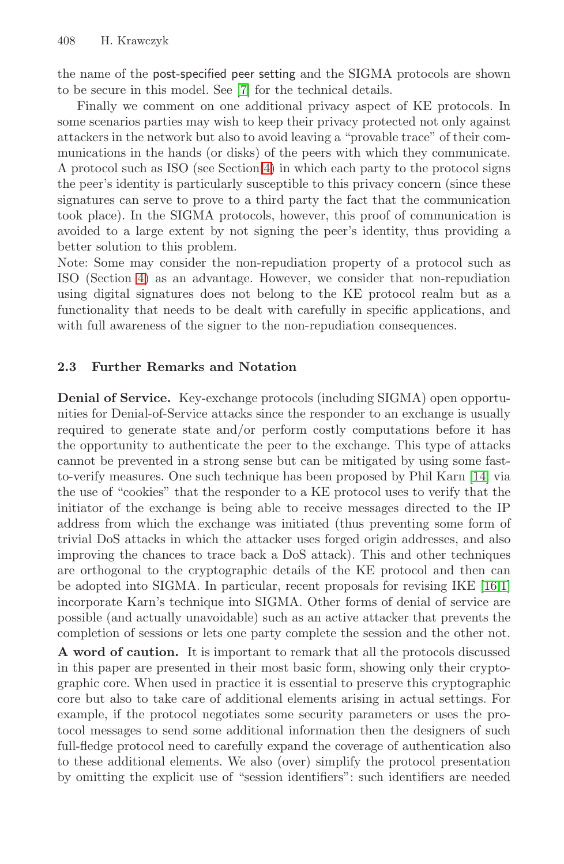<span id="page-8-0"></span>the name of the post-specified peer setting and the SIGMA protocols are shown to be secure in this model. See [\[7\]](#page-24-0) for the technical details.

Finally we comment on one additional privacy aspect of KE protocols. In some scenarios parties may wish to keep their privacy protected not only against attackers in the network but also to avoid leaving a "provable trace" of their communications in the hands (or disks) of the peers with which they communicate. A protocol such as ISO (see Section [4\)](#page-15-0) in which each party to the protocol signs the peer's identity is particularly susceptible to this privacy concern (since these signatures can serve to prove to a third party the fact that the communication took place). In the SIGMA protocols, however, this proof of communication is avoided to a large extent by not signing the peer's identity, thus providing a better solution to this problem.

Note: Some may consider the non-repudiation property of a protocol such as ISO (Section [4\)](#page-15-0) as an advantage. However, we consider that non-repudiation using digital signatures does not belong to the KE protocol realm but as a functionality that needs to be dealt with carefully in specific applications, and with full awareness of the signer to the non-repudiation consequences.

### **2.3 Further Remarks and Notation**

**Denial of Service.** Key-exchange protocols (including SIGMA) open opportunities for Denial-of-Service attacks since the responder to an exchange is usually required to generate state and/or perform costly computations before it has the opportunity to authenticate the peer to the exchange. This type of attacks cannot be prevented in a strong sense but can be mitigated by using some fastto-verify measures. One such technique has been proposed by Phil Karn [\[14\]](#page-24-0) via the use of "cookies" that the responder to a KE protocol uses to verify that the initiator of the exchange is being able to receive messages directed to the IP address from which the exchange was initiated (thus preventing some form of trivial DoS attacks in which the attacker uses forged origin addresses, and also improving the chances to trace back a DoS attack). This and other techniques are orthogonal to the cryptographic details of the KE protocol and then can be adopted into SIGMA. In particular, recent proposals for revising IKE [\[16](#page-24-0)[,1\]](#page-23-0) incorporate Karn's technique into SIGMA. Other forms of denial of service are possible (and actually unavoidable) such as an active attacker that prevents the completion of sessions or lets one party complete the session and the other not.

**A word of caution.** It is important to remark that all the protocols discussed in this paper are presented in their most basic form, showing only their cryptographic core. When used in practice it is essential to preserve this cryptographic core but also to take care of additional elements arising in actual settings. For example, if the protocol negotiates some security parameters or uses the protocol messages to send some additional information then the designers of such full-fledge protocol need to carefully expand the coverage of authentication also to these additional elements. We also (over) simplify the protocol presentation by omitting the explicit use of "session identifiers": such identifiers are needed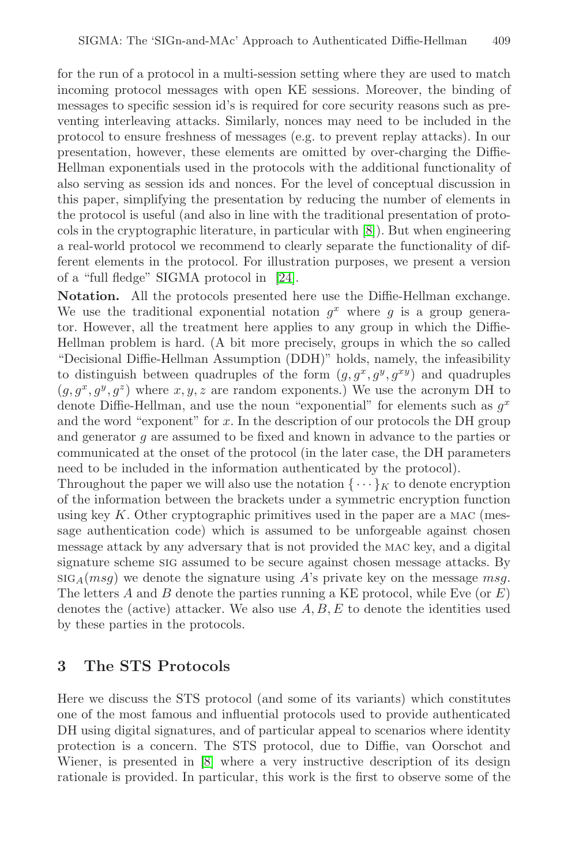<span id="page-9-0"></span>for the run of a protocol in a multi-session setting where they are used to match incoming protocol messages with open KE sessions. Moreover, the binding of messages to specific session id's is required for core security reasons such as preventing interleaving attacks. Similarly, nonces may need to be included in the protocol to ensure freshness of messages (e.g. to prevent replay attacks). In our presentation, however, these elements are omitted by over-charging the Diffie-Hellman exponentials used in the protocols with the additional functionality of also serving as session ids and nonces. For the level of conceptual discussion in this paper, simplifying the presentation by reducing the number of elements in the protocol is useful (and also in line with the traditional presentation of protocols in the cryptographic literature, in particular with [\[8\]](#page-24-0)). But when engineering a real-world protocol we recommend to clearly separate the functionality of different elements in the protocol. For illustration purposes, we present a version of a "full fledge" SIGMA protocol in [\[24\]](#page-24-0).

**Notation.** All the protocols presented here use the Diffie-Hellman exchange. We use the traditional exponential notation  $g^x$  where g is a group generator. However, all the treatment here applies to any group in which the Diffie-Hellman problem is hard. (A bit more precisely, groups in which the so called "Decisional Diffie-Hellman Assumption (DDH)" holds, namely, the infeasibility to distinguish between quadruples of the form  $(g, g^x, g^y, g^{xy})$  and quadruples  $(g, g^x, g^y, g^z)$  where  $x, y, z$  are random exponents.) We use the acronym DH to denote Diffie-Hellman, and use the noun "exponential" for elements such as  $g<sup>x</sup>$ and the word "exponent" for  $x$ . In the description of our protocols the DH group and generator g are assumed to be fixed and known in advance to the parties or communicated at the onset of the protocol (in the later case, the DH parameters need to be included in the information authenticated by the protocol).

Throughout the paper we will also use the notation  $\{\cdots\}_K$  to denote encryption of the information between the brackets under a symmetric encryption function using key K. Other cryptographic primitives used in the paper are a MAC (message authentication code) which is assumed to be unforgeable against chosen message attack by any adversary that is not provided the mac key, and a digital signature scheme signassumed to be secure against chosen message attacks. By  $\text{SIG}_{A}(msg)$  we denote the signature using A's private key on the message msg. The letters  $A$  and  $B$  denote the parties running a KE protocol, while Eve (or  $E$ ) denotes the (active) attacker. We also use  $A, B, E$  to denote the identities used by these parties in the protocols.

#### **3 The STS Protocols**

Here we discuss the STS protocol (and some of its variants) which constitutes one of the most famous and influential protocols used to provide authenticated DH using digital signatures, and of particular appeal to scenarios where identity protection is a concern. The STS protocol, due to Diffie, van Oorschot and Wiener, is presented in [\[8\]](#page-24-0) where a very instructive description of its design rationale is provided. In particular, this work is the first to observe some of the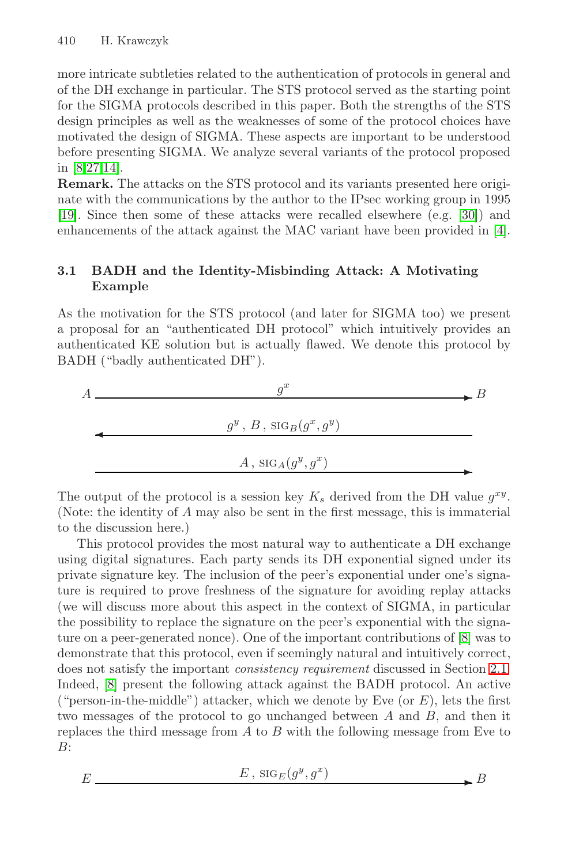<span id="page-10-0"></span>more intricate subtleties related to the authentication of protocols in general and of the DH exchange in particular. The STS protocol served as the starting point for the SIGMA protocols described in this paper. Both the strengths of the STS design principles as well as the weaknesses of some of the protocol choices have motivated the design of SIGMA. These aspects are important to be understood before presenting SIGMA. We analyze several variants of the protocol proposed in [\[8](#page-24-0)[,27,](#page-25-0)[14\]](#page-24-0).

**Remark.** The attacks on the STS protocol and its variants presented here originate with the communications by the author to the IPsec working group in 1995 [\[19\]](#page-24-0). Since then some of these attacks were recalled elsewhere (e.g. [\[30\]](#page-25-0)) and enhancements of the attack against the MAC variant have been provided in [\[4\]](#page-23-0).

# **3.1 BADH and the Identity-Misbinding Attack: A Motivating Example**

As the motivation for the STS protocol (and later for SIGMA too) we present a proposal for an "authenticated DH protocol" which intuitively provides an authenticated KE solution but is actually flawed. We denote this protocol by BADH ("badly authenticated DH").



The output of the protocol is a session key  $K_s$  derived from the DH value  $g^{xy}$ . (Note: the identity of A may also be sent in the first message, this is immaterial to the discussion here.)

This protocol provides the most natural way to authenticate a DH exchange using digital signatures. Each party sends its DH exponential signed under its private signature key. The inclusion of the peer's exponential under one's signature is required to prove freshness of the signature for avoiding replay attacks (we will discuss more about this aspect in the context of SIGMA, in particular the possibility to replace the signature on the peer's exponential with the signature on a peer-generated nonce). One of the important contributions of [\[8\]](#page-24-0) was to demonstrate that this protocol, even if seemingly natural and intuitively correct, does not satisfy the important *consistency requirement* discussed in Section [2.1.](#page-4-0) Indeed, [\[8\]](#page-24-0) present the following attack against the BADH protocol. An active ("person-in-the-middle") attacker, which we denote by Eve (or  $E$ ), lets the first two messages of the protocol to go unchanged between  $A$  and  $B$ , and then it replaces the third message from  $A$  to  $B$  with the following message from Eve to  $B:$ 

$$
E \xrightarrow{E, \, \text{SIG}_E(g^y, g^x)} \qquad \qquad \bullet \, B
$$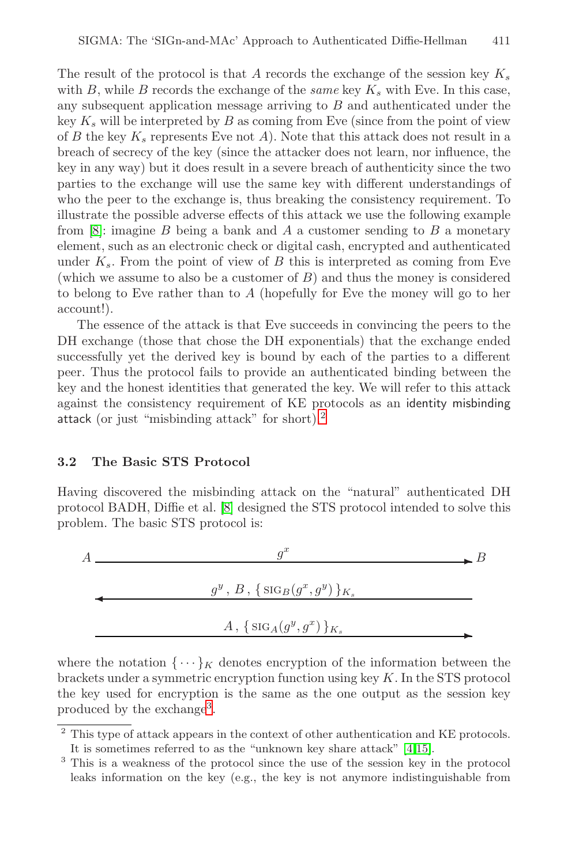The result of the protocol is that A records the exchange of the session key  $K_s$ with  $B$ , while  $B$  records the exchange of the *same* key  $K_s$  with Eve. In this case, any subsequent application message arriving to  $B$  and authenticated under the key  $K_s$  will be interpreted by  $B$  as coming from Eve (since from the point of view of B the key  $K_s$  represents Eve not A). Note that this attack does not result in a breach of secrecy of the key (since the attacker does not learn, nor influence, the key in any way) but it does result in a severe breach of authenticity since the two parties to the exchange will use the same key with different understandings of who the peer to the exchange is, thus breaking the consistency requirement. To illustrate the possible adverse effects of this attack we use the following example from  $[8]$ : imagine B being a bank and A a customer sending to B a monetary element, such as an electronic check or digital cash, encrypted and authenticated under  $K_s$ . From the point of view of B this is interpreted as coming from Eve (which we assume to also be a customer of  $B$ ) and thus the money is considered to belong to Eve rather than to A (hopefully for Eve the money will go to her account!).

The essence of the attack is that Eve succeeds in convincing the peers to the DH exchange (those that chose the DH exponentials) that the exchange ended successfully yet the derived key is bound by each of the parties to a different peer. Thus the protocol fails to provide an authenticated binding between the key and the honest identities that generated the key. We will refer to this attack against the consistency requirement of KE protocols as an identity misbinding attack (or just "misbinding attack" for short).<sup>2</sup>

#### **3.2 The Basic STS Protocol**

Having discovered the misbinding attack on the "natural" authenticated DH protocol BADH, Diffie et al. [\[8\]](#page-24-0) designed the STS protocol intended to solve this problem. The basic STS protocol is:



where the notation  $\{\cdots\}_K$  denotes encryption of the information between the brackets under a symmetric encryption function using key K. In the STS protocol the key used for encryption is the same as the one output as the session key produced by the exchange<sup>3</sup>.

 $^2$  This type of attack appears in the context of other authentication and KE protocols. It is sometimes referred to as the "unknown key share attack" [\[4,](#page-23-0)[15\]](#page-24-0).

<sup>3</sup> This is a weakness of the protocol since the use of the session key in the protocol leaks information on the key (e.g., the key is not anymore indistinguishable from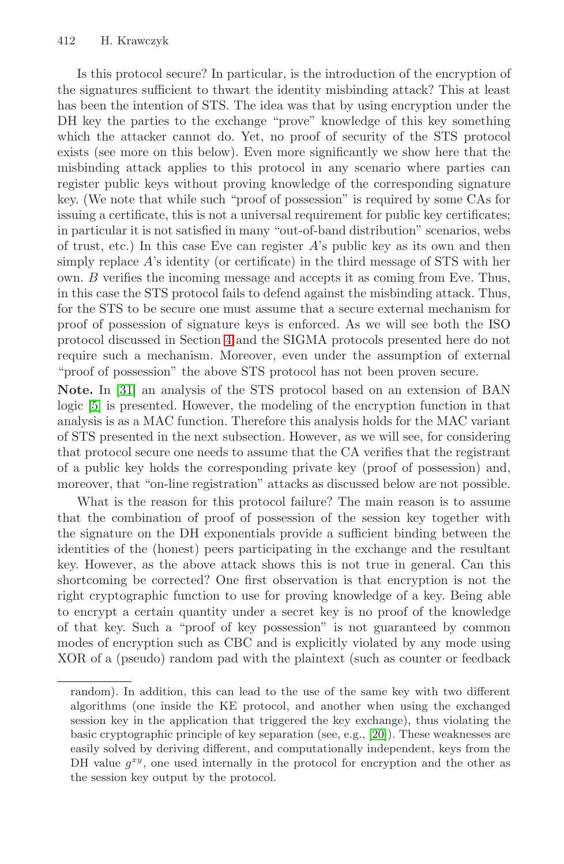Is this protocol secure? In particular, is the introduction of the encryption of the signatures sufficient to thwart the identity misbinding attack? This at least has been the intention of STS. The idea was that by using encryption under the DH key the parties to the exchange "prove" knowledge of this key something which the attacker cannot do. Yet, no proof of security of the STS protocol exists (see more on this below). Even more significantly we show here that the misbinding attack applies to this protocol in any scenario where parties can register public keys without proving knowledge of the corresponding signature key. (We note that while such "proof of possession" is required by some CAs for issuing a certificate, this is not a universal requirement for public key certificates; in particular it is not satisfied in many "out-of-band distribution" scenarios, webs of trust, etc.) In this case Eve can register  $A$ 's public key as its own and then simply replace A's identity (or certificate) in the third message of STS with her own. B verifies the incoming message and accepts it as coming from Eve. Thus, in this case the STS protocol fails to defend against the misbinding attack. Thus, for the STS to be secure one must assume that a secure external mechanism for proof of possession of signature keys is enforced. As we will see both the ISO protocol discussed in Section [4](#page-15-0) and the SIGMA protocols presented here do not require such a mechanism. Moreover, even under the assumption of external "proof of possession" the above STS protocol has not been proven secure.

**Note.** In [\[31\]](#page-25-0) an analysis of the STS protocol based on an extension of BAN logic [\[5\]](#page-24-0) is presented. However, the modeling of the encryption function in that analysis is as a MAC function. Therefore this analysis holds for the MAC variant of STS presented in the next subsection. However, as we will see, for considering that protocol secure one needs to assume that the CA verifies that the registrant of a public key holds the corresponding private key (proof of possession) and, moreover, that "on-line registration" attacks as discussed below are not possible.

What is the reason for this protocol failure? The main reason is to assume that the combination of proof of possession of the session key together with the signature on the DH exponentials provide a sufficient binding between the identities of the (honest) peers participating in the exchange and the resultant key. However, as the above attack shows this is not true in general. Can this shortcoming be corrected? One first observation is that encryption is not the right cryptographic function to use for proving knowledge of a key. Being able to encrypt a certain quantity under a secret key is no proof of the knowledge of that key. Such a "proof of key possession" is not guaranteed by common modes of encryption such as CBC and is explicitly violated by any mode using XOR of a (pseudo) random pad with the plaintext (such as counter or feedback

random). In addition, this can lead to the use of the same key with two different algorithms (one inside the KE protocol, and another when using the exchanged session key in the application that triggered the key exchange), thus violating the basic cryptographic principle of key separation (see, e.g., [\[20\]](#page-24-0)). These weaknesses are easily solved by deriving different, and computationally independent, keys from the DH value  $g^{xy}$ , one used internally in the protocol for encryption and the other as the session key output by the protocol.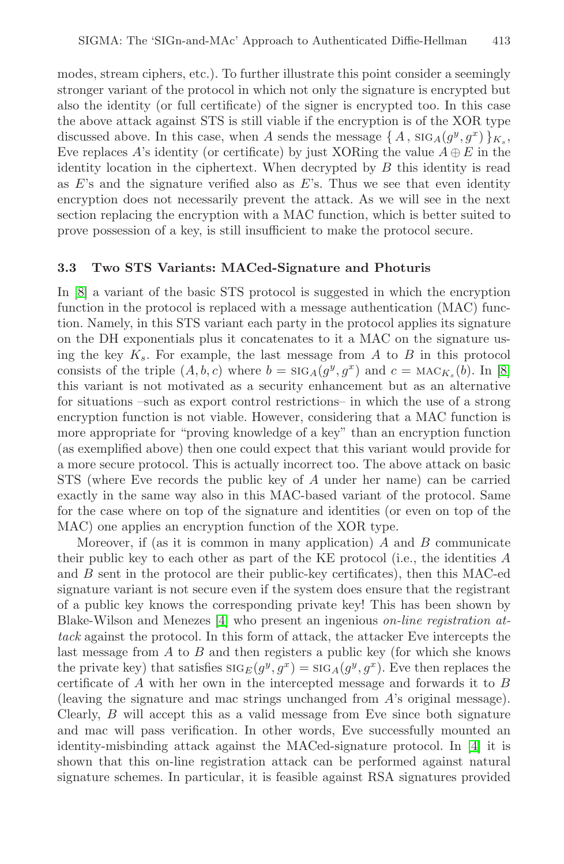<span id="page-13-0"></span>modes, stream ciphers, etc.). To further illustrate this point consider a seemingly stronger variant of the protocol in which not only the signature is encrypted but also the identity (or full certificate) of the signer is encrypted too. In this case the above attack against STS is still viable if the encryption is of the XOR type discussed above. In this case, when A sends the message  $\{A, \text{SIG}_A(g^y, g^x)\}_{K_s}$ , Eve replaces A's identity (or certificate) by just XORing the value  $A \oplus E$  in the identity location in the ciphertext. When decrypted by  $B$  this identity is read as  $E$ 's and the signature verified also as  $E$ 's. Thus we see that even identity encryption does not necessarily prevent the attack. As we will see in the next section replacing the encryption with a MAC function, which is better suited to prove possession of a key, is still insufficient to make the protocol secure.

#### **3.3 Two STS Variants: MACed-Signature and Photuris**

In [\[8\]](#page-24-0) a variant of the basic STS protocol is suggested in which the encryption function in the protocol is replaced with a message authentication (MAC) function. Namely, in this STS variant each party in the protocol applies its signature on the DH exponentials plus it concatenates to it a MAC on the signature using the key  $K_s$ . For example, the last message from A to B in this protocol consists of the triple  $(A, b, c)$  where  $b = \text{SIG}_A(g^y, g^x)$  and  $c = \text{MAC}_{K_s}(b)$ . In [\[8\]](#page-24-0) this variant is not motivated as a security enhancement but as an alternative for situations –such as export control restrictions– in which the use of a strong encryption function is not viable. However, considering that a MAC function is more appropriate for "proving knowledge of a key" than an encryption function (as exemplified above) then one could expect that this variant would provide for a more secure protocol. This is actually incorrect too. The above attack on basic STS (where Eve records the public key of A under her name) can be carried exactly in the same way also in this MAC-based variant of the protocol. Same for the case where on top of the signature and identities (or even on top of the MAC) one applies an encryption function of the XOR type.

Moreover, if (as it is common in many application)  $A$  and  $B$  communicate their public key to each other as part of the KE protocol (i.e., the identities  $A$ and B sent in the protocol are their public-key certificates), then this MAC-ed signature variant is not secure even if the system does ensure that the registrant of a public key knows the corresponding private key! This has been shown by Blake-Wilson and Menezes [\[4\]](#page-23-0) who present an ingenious *on-line registration attack* against the protocol. In this form of attack, the attacker Eve intercepts the last message from  $A$  to  $B$  and then registers a public key (for which she knows the private key) that satisfies  $\text{sig}_E(g^y, g^x) = \text{sig}_A(g^y, g^x)$ . Eve then replaces the certificate of A with her own in the intercepted message and forwards it to B (leaving the signature and mac strings unchanged from A's original message). Clearly, B will accept this as a valid message from Eve since both signature and mac will pass verification. In other words, Eve successfully mounted an identity-misbinding attack against the MACed-signature protocol. In [\[4\]](#page-23-0) it is shown that this on-line registration attack can be performed against natural signature schemes. In particular, it is feasible against RSA signatures provided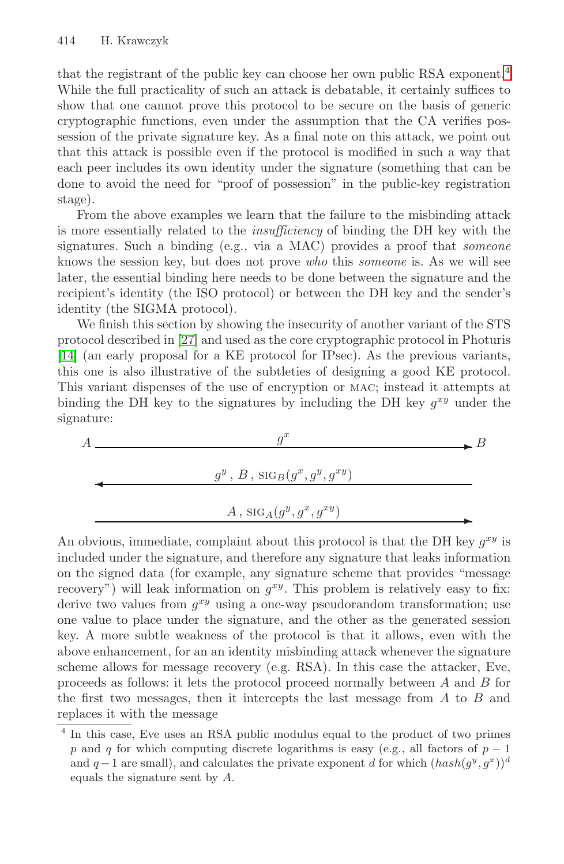that the registrant of the public key can choose her own public RSA exponent.<sup>4</sup> While the full practicality of such an attack is debatable, it certainly suffices to show that one cannot prove this protocol to be secure on the basis of generic cryptographic functions, even under the assumption that the CA verifies possession of the private signature key. As a final note on this attack, we point out that this attack is possible even if the protocol is modified in such a way that each peer includes its own identity under the signature (something that can be done to avoid the need for "proof of possession" in the public-key registration stage).

From the above examples we learn that the failure to the misbinding attack is more essentially related to the *insufficiency* of binding the DH key with the signatures. Such a binding (e.g., via a MAC) provides a proof that *someone* knows the session key, but does not prove *who* this *someone* is. As we will see later, the essential binding here needs to be done between the signature and the recipient's identity (the ISO protocol) or between the DH key and the sender's identity (the SIGMA protocol).

We finish this section by showing the insecurity of another variant of the STS protocol described in [\[27\]](#page-25-0) and used as the core cryptographic protocol in Photuris [\[14\]](#page-24-0) (an early proposal for a KE protocol for IPsec). As the previous variants, this one is also illustrative of the subtleties of designing a good KE protocol. This variant dispenses of the use of encryption or mac; instead it attempts at binding the DH key to the signatures by including the DH key  $g^{xy}$  under the signature:



An obvious, immediate, complaint about this protocol is that the DH key  $g^{xy}$  is included under the signature, and therefore any signature that leaks information on the signed data (for example, any signature scheme that provides "message recovery") will leak information on  $q^{xy}$ . This problem is relatively easy to fix: derive two values from  $g^{xy}$  using a one-way pseudorandom transformation; use one value to place under the signature, and the other as the generated session key. A more subtle weakness of the protocol is that it allows, even with the above enhancement, for an an identity misbinding attack whenever the signature scheme allows for message recovery (e.g. RSA). In this case the attacker, Eve, proceeds as follows: it lets the protocol proceed normally between A and B for the first two messages, then it intercepts the last message from  $A$  to  $B$  and replaces it with the message

<sup>&</sup>lt;sup>4</sup> In this case, Eve uses an RSA public modulus equal to the product of two primes p and q for which computing discrete logarithms is easy (e.g., all factors of  $p-1$ and  $q-1$  are small), and calculates the private exponent d for which  $(hash(g^y, g^x))$ <sup>d</sup> equals the signature sent by A.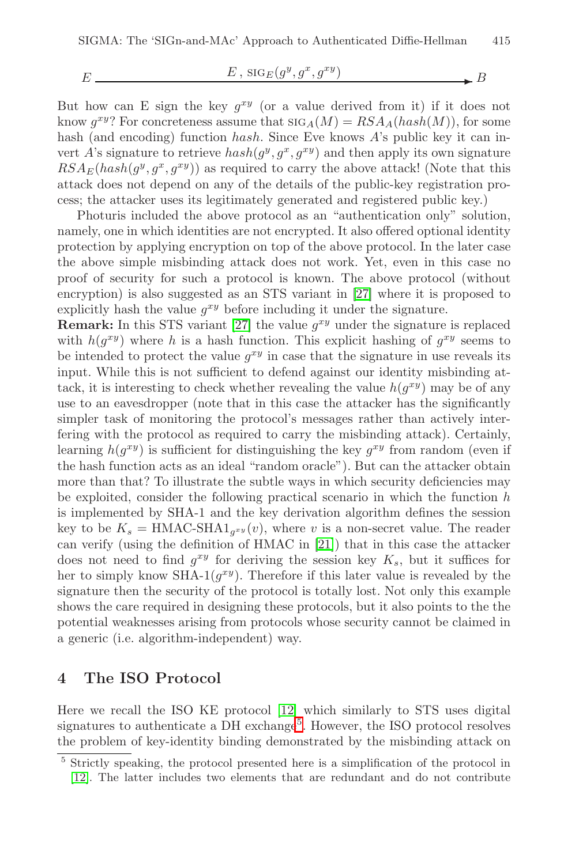<span id="page-15-0"></span>
$$
E \xrightarrow{E, \, \text{SIG}_E(g^y, g^x, g^{xy})} B
$$

But how can E sign the key  $g^{xy}$  (or a value derived from it) if it does not know  $g^{xy}$ ? For concreteness assume that  $\text{sig}_A(M) = RSA_A(hash(M))$ , for some hash (and encoding) function hash. Since Eve knows  $A$ 's public key it can invert A's signature to retrieve  $hash(g^y, g^x, g^{xy})$  and then apply its own signature  $RSA_E(hash(g^y, g^x, g^{xy}))$  as required to carry the above attack! (Note that this attack does not depend on any of the details of the public-key registration process; the attacker uses its legitimately generated and registered public key.)

Photuris included the above protocol as an "authentication only" solution, namely, one in which identities are not encrypted. It also offered optional identity protection by applying encryption on top of the above protocol. In the later case the above simple misbinding attack does not work. Yet, even in this case no proof of security for such a protocol is known. The above protocol (without encryption) is also suggested as an STS variant in [\[27\]](#page-25-0) where it is proposed to explicitly hash the value  $g^{xy}$  before including it under the signature.

**Remark:** In this STS variant [\[27\]](#page-25-0) the value  $g^{xy}$  under the signature is replaced with  $h(g^{xy})$  where h is a hash function. This explicit hashing of  $g^{xy}$  seems to be intended to protect the value  $g^{xy}$  in case that the signature in use reveals its input. While this is not sufficient to defend against our identity misbinding attack, it is interesting to check whether revealing the value  $h(g^{xy})$  may be of any use to an eavesdropper (note that in this case the attacker has the significantly simpler task of monitoring the protocol's messages rather than actively interfering with the protocol as required to carry the misbinding attack). Certainly, learning  $h(q^{xy})$  is sufficient for distinguishing the key  $q^{xy}$  from random (even if the hash function acts as an ideal "random oracle"). But can the attacker obtain more than that? To illustrate the subtle ways in which security deficiencies may be exploited, consider the following practical scenario in which the function  $h$ is implemented by SHA-1 and the key derivation algorithm defines the session key to be  $K_s = \text{HMAC-SHA1}_{q^{xy}}(v)$ , where v is a non-secret value. The reader can verify (using the definition of HMAC in [\[21\]](#page-24-0)) that in this case the attacker does not need to find  $g^{xy}$  for deriving the session key  $K_s$ , but it suffices for her to simply know SHA-1( $g^{xy}$ ). Therefore if this later value is revealed by the signature then the security of the protocol is totally lost. Not only this example shows the care required in designing these protocols, but it also points to the the potential weaknesses arising from protocols whose security cannot be claimed in a generic (i.e. algorithm-independent) way.

### **4 The ISO Protocol**

Here we recall the ISO KE protocol [\[12\]](#page-24-0) which similarly to STS uses digital signatures to authenticate a DH exchange<sup>5</sup>. However, the ISO protocol resolves the problem of key-identity binding demonstrated by the misbinding attack on

<sup>5</sup> Strictly speaking, the protocol presented here is a simplification of the protocol in [\[12\]](#page-24-0). The latter includes two elements that are redundant and do not contribute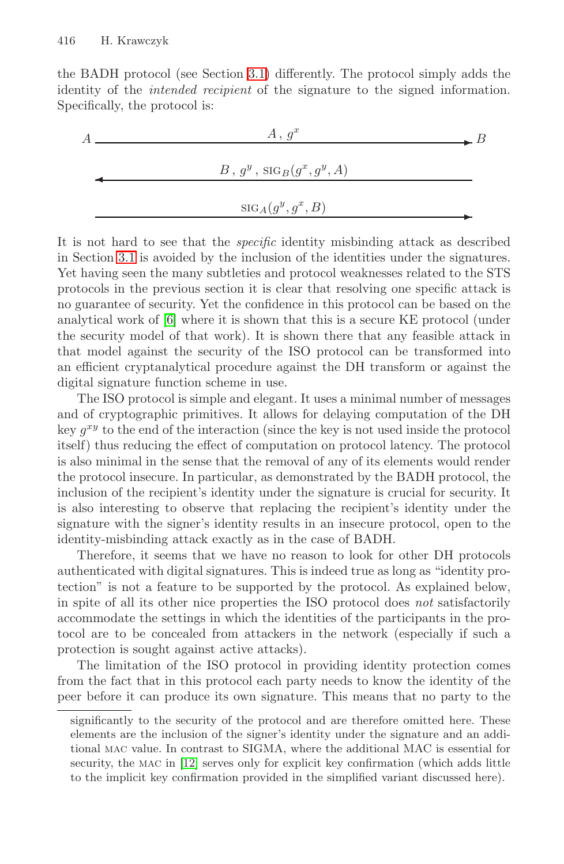the BADH protocol (see Section [3.1\)](#page-10-0) differently. The protocol simply adds the identity of the *intended recipient* of the signature to the signed information. Specifically, the protocol is:



It is not hard to see that the *specific* identity misbinding attack as described in Section [3.1](#page-10-0) is avoided by the inclusion of the identities under the signatures. Yet having seen the many subtleties and protocol weaknesses related to the STS protocols in the previous section it is clear that resolving one specific attack is no guarantee of security. Yet the confidence in this protocol can be based on the analytical work of [\[6\]](#page-24-0) where it is shown that this is a secure KE protocol (under the security model of that work). It is shown there that any feasible attack in that model against the security of the ISO protocol can be transformed into an efficient cryptanalytical procedure against the DH transform or against the digital signature function scheme in use.

The ISO protocol is simple and elegant. It uses a minimal number of messages and of cryptographic primitives. It allows for delaying computation of the DH key  $g^{xy}$  to the end of the interaction (since the key is not used inside the protocol itself) thus reducing the effect of computation on protocol latency. The protocol is also minimal in the sense that the removal of any of its elements would render the protocol insecure. In particular, as demonstrated by the BADH protocol, the inclusion of the recipient's identity under the signature is crucial for security. It is also interesting to observe that replacing the recipient's identity under the signature with the signer's identity results in an insecure protocol, open to the identity-misbinding attack exactly as in the case of BADH.

Therefore, it seems that we have no reason to look for other DH protocols authenticated with digital signatures. This is indeed true as long as "identity protection" is not a feature to be supported by the protocol. As explained below, in spite of all its other nice properties the ISO protocol does *not* satisfactorily accommodate the settings in which the identities of the participants in the protocol are to be concealed from attackers in the network (especially if such a protection is sought against active attacks).

The limitation of the ISO protocol in providing identity protection comes from the fact that in this protocol each party needs to know the identity of the peer before it can produce its own signature. This means that no party to the

significantly to the security of the protocol and are therefore omitted here. These elements are the inclusion of the signer's identity under the signature and an additional mac value. In contrast to SIGMA, where the additional MAC is essential for security, the MAC in [\[12\]](#page-24-0) serves only for explicit key confirmation (which adds little to the implicit key confirmation provided in the simplified variant discussed here).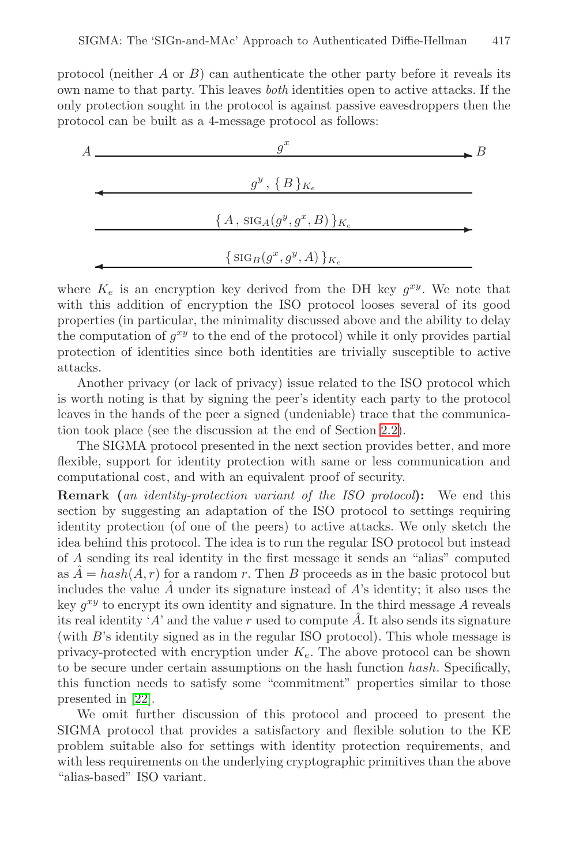protocol (neither  $A$  or  $B$ ) can authenticate the other party before it reveals its own name to that party. This leaves *both* identities open to active attacks. If the only protection sought in the protocol is against passive eavesdroppers then the protocol can be built as a 4-message protocol as follows:

| Α | $a^x$                                          |  |
|---|------------------------------------------------|--|
|   | $g^y, \{B\}_{K_e}$                             |  |
|   | ${A, \operatorname{SIG}_A(g^y, g^x, B)}_{K_e}$ |  |
|   | $\{\operatorname{sig}_B(g^x, g^y, A)\}_{K_e}$  |  |

where  $K_e$  is an encryption key derived from the DH key  $g^{xy}$ . We note that with this addition of encryption the ISO protocol looses several of its good properties (in particular, the minimality discussed above and the ability to delay the computation of  $g^{xy}$  to the end of the protocol) while it only provides partial protection of identities since both identities are trivially susceptible to active attacks.

Another privacy (or lack of privacy) issue related to the ISO protocol which is worth noting is that by signing the peer's identity each party to the protocol leaves in the hands of the peer a signed (undeniable) trace that the communication took place (see the discussion at the end of Section [2.2\)](#page-6-0).

The SIGMA protocol presented in the next section provides better, and more flexible, support for identity protection with same or less communication and computational cost, and with an equivalent proof of security.

**Remark (***an identity-protection variant of the ISO protocol***):** We end this section by suggesting an adaptation of the ISO protocol to settings requiring identity protection (of one of the peers) to active attacks. We only sketch the idea behind this protocol. The idea is to run the regular ISO protocol but instead of A sending its real identity in the first message it sends an "alias" computed as  $A = hash(A, r)$  for a random r. Then B proceeds as in the basic protocol but includes the value  $\tilde{A}$  under its signature instead of  $A$ 's identity; it also uses the key  $g^{xy}$  to encrypt its own identity and signature. In the third message A reveals its real identity 'A' and the value r used to compute A. It also sends its signature (with B's identity signed as in the regular ISO protocol). This whole message is privacy-protected with encryption under  $K_e$ . The above protocol can be shown to be secure under certain assumptions on the hash function hash. Specifically, this function needs to satisfy some "commitment" properties similar to those presented in [\[22\]](#page-24-0).

We omit further discussion of this protocol and proceed to present the SIGMA protocol that provides a satisfactory and flexible solution to the KE problem suitable also for settings with identity protection requirements, and with less requirements on the underlying cryptographic primitives than the above "alias-based" ISO variant.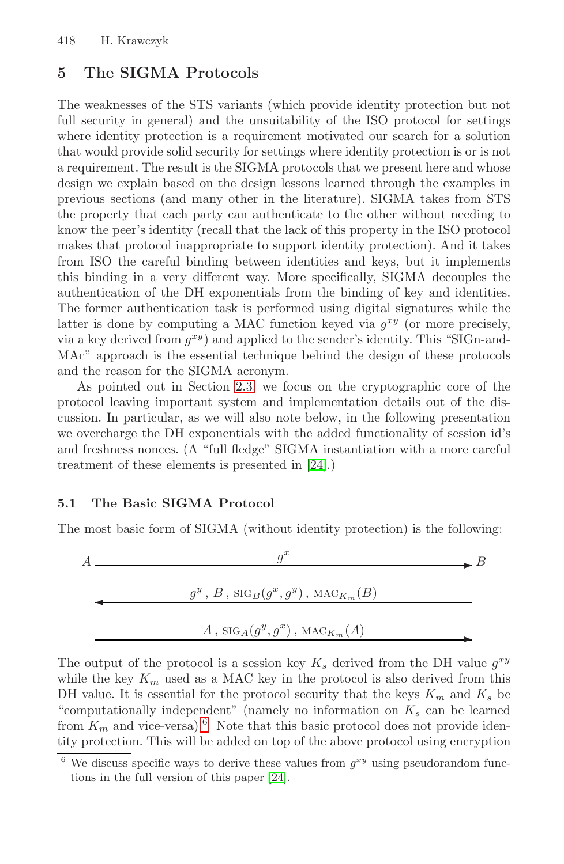# <span id="page-18-0"></span>**5 The SIGMA Protocols**

The weaknesses of the STS variants (which provide identity protection but not full security in general) and the unsuitability of the ISO protocol for settings where identity protection is a requirement motivated our search for a solution that would provide solid security for settings where identity protection is or is not a requirement. The result is the SIGMA protocols that we present here and whose design we explain based on the design lessons learned through the examples in previous sections (and many other in the literature). SIGMA takes from STS the property that each party can authenticate to the other without needing to know the peer's identity (recall that the lack of this property in the ISO protocol makes that protocol inappropriate to support identity protection). And it takes from ISO the careful binding between identities and keys, but it implements this binding in a very different way. More specifically, SIGMA decouples the authentication of the DH exponentials from the binding of key and identities. The former authentication task is performed using digital signatures while the latter is done by computing a MAC function keyed via  $q^{xy}$  (or more precisely, via a key derived from  $g^{xy}$ ) and applied to the sender's identity. This "SIGn-and-MAc" approach is the essential technique behind the design of these protocols and the reason for the SIGMA acronym.

As pointed out in Section [2.3,](#page-8-0) we focus on the cryptographic core of the protocol leaving important system and implementation details out of the discussion. In particular, as we will also note below, in the following presentation we overcharge the DH exponentials with the added functionality of session id's and freshness nonces. (A "full fledge" SIGMA instantiation with a more careful treatment of these elements is presented in [\[24\]](#page-24-0).)

#### **5.1 The Basic SIGMA Protocol**

The most basic form of SIGMA (without identity protection) is the following:



The output of the protocol is a session key  $K_s$  derived from the DH value  $g^{xy}$ while the key  $K_m$  used as a MAC key in the protocol is also derived from this DH value. It is essential for the protocol security that the keys  $K_m$  and  $K_s$  be "computationally independent" (namely no information on  $K_s$  can be learned from  $K_m$  and vice-versa).<sup>6</sup> Note that this basic protocol does not provide identity protection. This will be added on top of the above protocol using encryption

<sup>&</sup>lt;sup>6</sup> We discuss specific ways to derive these values from  $g^{xy}$  using pseudorandom functions in the full version of this paper [\[24\]](#page-24-0).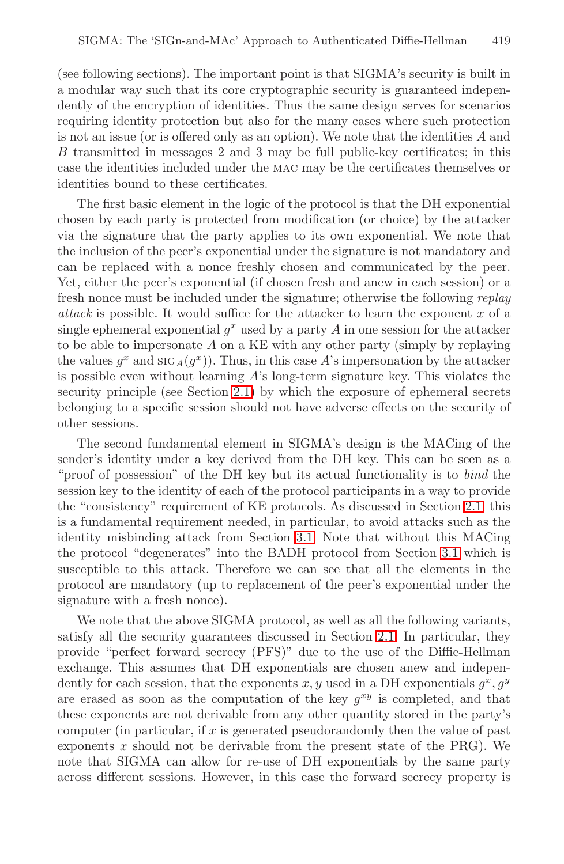(see following sections). The important point is that SIGMA's security is built in a modular way such that its core cryptographic security is guaranteed independently of the encryption of identities. Thus the same design serves for scenarios requiring identity protection but also for the many cases where such protection is not an issue (or is offered only as an option). We note that the identities A and B transmitted in messages 2 and 3 may be full public-key certificates; in this case the identities included under the mac may be the certificates themselves or identities bound to these certificates.

The first basic element in the logic of the protocol is that the DH exponential chosen by each party is protected from modification (or choice) by the attacker via the signature that the party applies to its own exponential. We note that the inclusion of the peer's exponential under the signature is not mandatory and can be replaced with a nonce freshly chosen and communicated by the peer. Yet, either the peer's exponential (if chosen fresh and anew in each session) or a fresh nonce must be included under the signature; otherwise the following *replay attack* is possible. It would suffice for the attacker to learn the exponent x of a single ephemeral exponential  $g^x$  used by a party A in one session for the attacker to be able to impersonate A on a KE with any other party (simply by replaying the values  $g^x$  and  $\text{sig}_A(g^x)$ ). Thus, in this case A's impersonation by the attacker is possible even without learning A's long-term signature key. This violates the security principle (see Section [2.1\)](#page-4-0) by which the exposure of ephemeral secrets belonging to a specific session should not have adverse effects on the security of other sessions.

The second fundamental element in SIGMA's design is the MACing of the sender's identity under a key derived from the DH key. This can be seen as a "proof of possession" of the DH key but its actual functionality is to *bind* the session key to the identity of each of the protocol participants in a way to provide the "consistency" requirement of KE protocols. As discussed in Section [2.1,](#page-4-0) this is a fundamental requirement needed, in particular, to avoid attacks such as the identity misbinding attack from Section [3.1.](#page-10-0) Note that without this MACing the protocol "degenerates" into the BADH protocol from Section [3.1](#page-10-0) which is susceptible to this attack. Therefore we can see that all the elements in the protocol are mandatory (up to replacement of the peer's exponential under the signature with a fresh nonce).

We note that the above SIGMA protocol, as well as all the following variants, satisfy all the security guarantees discussed in Section [2.1.](#page-4-0) In particular, they provide "perfect forward secrecy (PFS)" due to the use of the Diffie-Hellman exchange. This assumes that DH exponentials are chosen anew and independently for each session, that the exponents x, y used in a DH exponentials  $g^x, g^y$ are erased as soon as the computation of the key  $g^{xy}$  is completed, and that these exponents are not derivable from any other quantity stored in the party's computer (in particular, if  $x$  is generated pseudorandomly then the value of past exponents  $x$  should not be derivable from the present state of the PRG). We note that SIGMA can allow for re-use of DH exponentials by the same party across different sessions. However, in this case the forward secrecy property is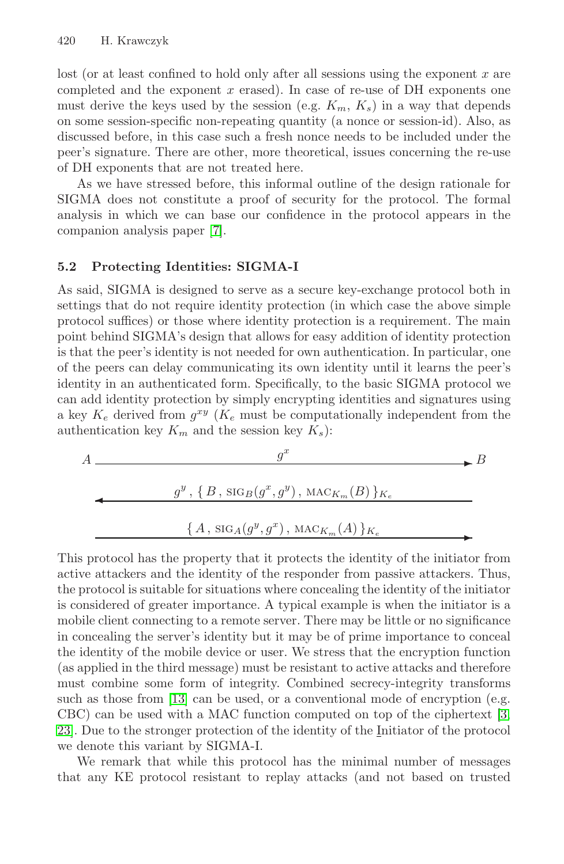<span id="page-20-0"></span>lost (or at least confined to hold only after all sessions using the exponent x are completed and the exponent  $x$  erased). In case of re-use of DH exponents one must derive the keys used by the session (e.g.  $K_m$ ,  $K_s$ ) in a way that depends on some session-specific non-repeating quantity (a nonce or session-id). Also, as discussed before, in this case such a fresh nonce needs to be included under the peer's signature. There are other, more theoretical, issues concerning the re-use of DH exponents that are not treated here.

As we have stressed before, this informal outline of the design rationale for SIGMA does not constitute a proof of security for the protocol. The formal analysis in which we can base our confidence in the protocol appears in the companion analysis paper [\[7\]](#page-24-0).

#### **5.2 Protecting Identities: SIGMA-I**

As said, SIGMA is designed to serve as a secure key-exchange protocol both in settings that do not require identity protection (in which case the above simple protocol suffices) or those where identity protection is a requirement. The main point behind SIGMA's design that allows for easy addition of identity protection is that the peer's identity is not needed for own authentication. In particular, one of the peers can delay communicating its own identity until it learns the peer's identity in an authenticated form. Specifically, to the basic SIGMA protocol we can add identity protection by simply encrypting identities and signatures using a key  $K_e$  derived from  $g^{xy}$  ( $K_e$  must be computationally independent from the authentication key  $K_m$  and the session key  $K_s$ ):



This protocol has the property that it protects the identity of the initiator from active attackers and the identity of the responder from passive attackers. Thus, the protocol is suitable for situations where concealing the identity of the initiator is considered of greater importance. A typical example is when the initiator is a mobile client connecting to a remote server. There may be little or no significance in concealing the server's identity but it may be of prime importance to conceal the identity of the mobile device or user. We stress that the encryption function (as applied in the third message) must be resistant to active attacks and therefore must combine some form of integrity. Combined secrecy-integrity transforms such as those from [\[13\]](#page-24-0) can be used, or a conventional mode of encryption (e.g. CBC) can be used with a MAC function computed on top of the ciphertext [\[3,](#page-23-0) [23\]](#page-24-0). Due to the stronger protection of the identity of the Initiator of the protocol we denote this variant by SIGMA-I.

We remark that while this protocol has the minimal number of messages that any KE protocol resistant to replay attacks (and not based on trusted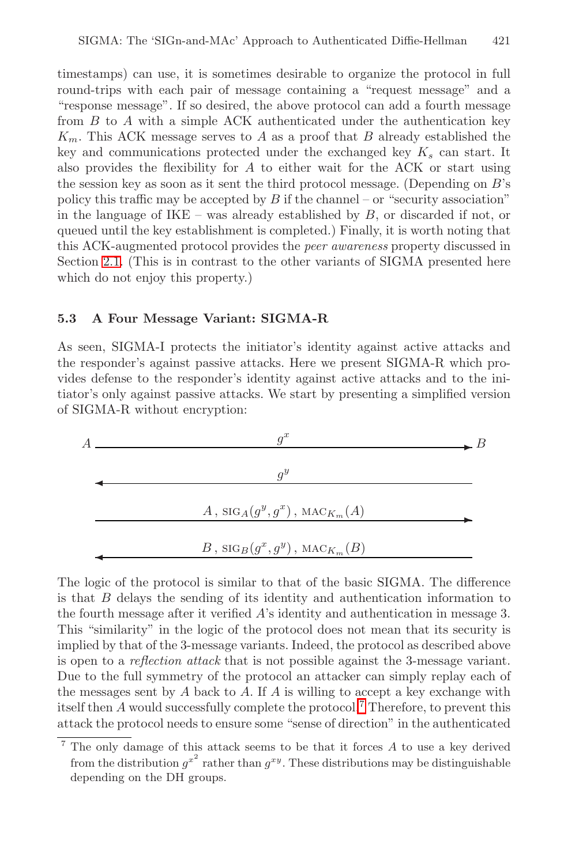timestamps) can use, it is sometimes desirable to organize the protocol in full round-trips with each pair of message containing a "request message" and a "response message". If so desired, the above protocol can add a fourth message from B to A with a simple ACK authenticated under the authentication key  $K_m$ . This ACK message serves to A as a proof that B already established the key and communications protected under the exchanged key  $K_s$  can start. It also provides the flexibility for A to either wait for the ACK or start using the session key as soon as it sent the third protocol message. (Depending on B's policy this traffic may be accepted by  $B$  if the channel – or "security association" in the language of IKE – was already established by  $B$ , or discarded if not, or queued until the key establishment is completed.) Finally, it is worth noting that this ACK-augmented protocol provides the *peer awareness* property discussed in Section [2.1.](#page-4-0) (This is in contrast to the other variants of SIGMA presented here which do not enjoy this property.)

#### **5.3 A Four Message Variant: SIGMA-R**

As seen, SIGMA-I protects the initiator's identity against active attacks and the responder's against passive attacks. Here we present SIGMA-R which provides defense to the responder's identity against active attacks and to the initiator's only against passive attacks. We start by presenting a simplified version of SIGMA-R without encryption:



The logic of the protocol is similar to that of the basic SIGMA. The difference is that B delays the sending of its identity and authentication information to the fourth message after it verified A's identity and authentication in message 3. This "similarity" in the logic of the protocol does not mean that its security is implied by that of the 3-message variants. Indeed, the protocol as described above is open to a *reflection attack* that is not possible against the 3-message variant. Due to the full symmetry of the protocol an attacker can simply replay each of the messages sent by  $A$  back to  $A$ . If  $A$  is willing to accept a key exchange with itself then <sup>A</sup> would successfully complete the protocol.<sup>7</sup> Therefore, to prevent this attack the protocol needs to ensure some "sense of direction" in the authenticated

The only damage of this attack seems to be that it forces  $A$  to use a key derived from the distribution  $g^{x^2}$  rather than  $g^{xy}$ . These distributions may be distinguishable depending on the DH groups.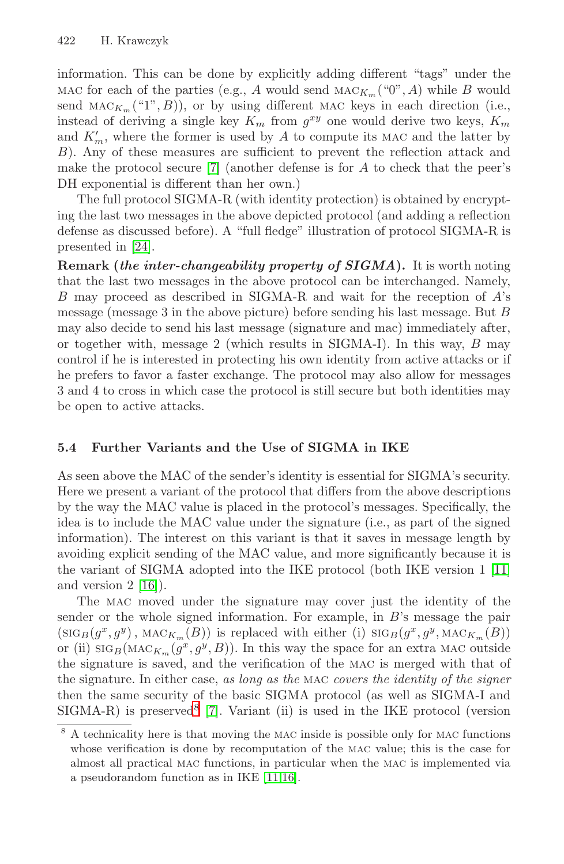<span id="page-22-0"></span>information. This can be done by explicitly adding different "tags" under the MAC for each of the parties (e.g., A would send  $MAC_{K_m}("0", A)$  while B would send  $MAC_{K_m}(``1", B))$ , or by using different MAC keys in each direction (i.e., instead of deriving a single key  $K_m$  from  $g^{xy}$  one would derive two keys,  $K_m$ and  $K'_m$ , where the former is used by A to compute its MAC and the latter by  $R$ ). Any of these measures are sufficient to prevent the reflection attack and B). Any of these measures are sufficient to prevent the reflection attack and make the protocol secure  $[7]$  (another defense is for A to check that the peer's DH exponential is different than her own.)

The full protocol SIGMA-R (with identity protection) is obtained by encrypting the last two messages in the above depicted protocol (and adding a reflection defense as discussed before). A "full fledge" illustration of protocol SIGMA-R is presented in [\[24\]](#page-24-0).

**Remark (***the inter-changeability property of SIGMA***).** It is worth noting that the last two messages in the above protocol can be interchanged. Namely, B may proceed as described in SIGMA-R and wait for the reception of A's message (message 3 in the above picture) before sending his last message. But  $B$ may also decide to send his last message (signature and mac) immediately after, or together with, message 2 (which results in  $SIGMA-I$ ). In this way,  $B$  may control if he is interested in protecting his own identity from active attacks or if he prefers to favor a faster exchange. The protocol may also allow for messages 3 and 4 to cross in which case the protocol is still secure but both identities may be open to active attacks.

### **5.4 Further Variants and the Use of SIGMA in IKE**

As seen above the MAC of the sender's identity is essential for SIGMA's security. Here we present a variant of the protocol that differs from the above descriptions by the way the MAC value is placed in the protocol's messages. Specifically, the idea is to include the MAC value under the signature (i.e., as part of the signed information). The interest on this variant is that it saves in message length by avoiding explicit sending of the MAC value, and more significantly because it is the variant of SIGMA adopted into the IKE protocol (both IKE version 1 [\[11\]](#page-24-0) and version  $2 \lfloor 16 \rfloor$ .

The mac moved under the signature may cover just the identity of the sender or the whole signed information. For example, in  $B$ 's message the pair  $(\text{sig}_B(g^x, g^y), \text{MAC}_{K_m}(B))$  is replaced with either (i)  $\text{sig}_B(g^x, g^y, \text{MAC}_{K_m}(B))$ or (ii)  $\text{sig}_B(\text{MAC}_{K_m}(g^x, g^y, B))$ . In this way the space for an extra MAC outside the signature is saved, and the verification of the mac is merged with that of the signature. In either case, *as long as the* mac *covers the identity of the signer* then the same security of the basic SIGMA protocol (as well as SIGMA-I and  $SIGMA-R$ ) is preserved<sup>8</sup> [\[7\]](#page-24-0). Variant (ii) is used in the IKE protocol (version

<sup>8</sup> A technicality here is that moving the mac inside is possible only for mac functions whose verification is done by recomputation of the mac value; this is the case for almost all practical mac functions, in particular when the mac is implemented via a pseudorandom function as in IKE [\[11,16\]](#page-24-0).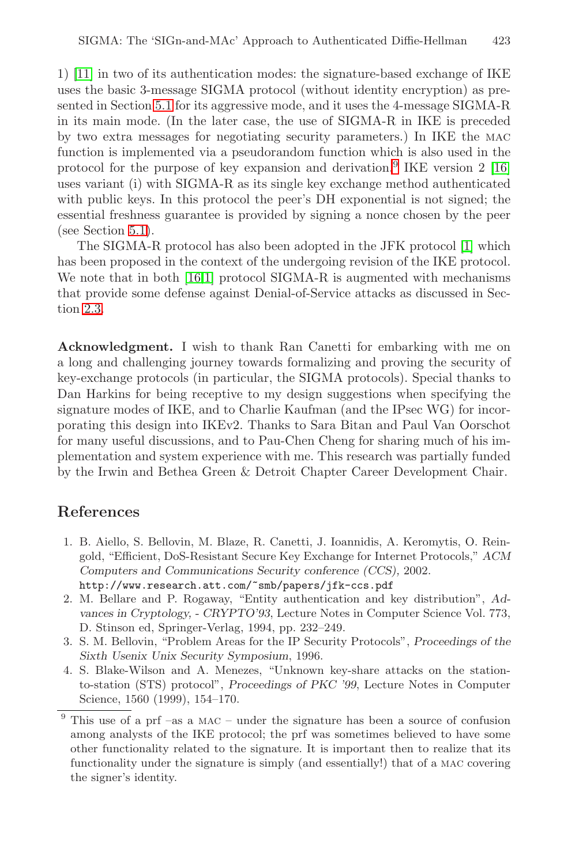<span id="page-23-0"></span>1) [\[11\]](#page-24-0) in two of its authentication modes: the signature-based exchange of IKE uses the basic 3-message SIGMA protocol (without identity encryption) as presented in Section [5.1](#page-18-0) for its aggressive mode, and it uses the 4-message SIGMA-R in its main mode. (In the later case, the use of SIGMA-R in IKE is preceded by two extra messages for negotiating security parameters.) In IKE the mac function is implemented via a pseudorandom function which is also used in the protocol for the purpose of key expansion and derivation.<sup>9</sup> IKE version 2 [\[16\]](#page-24-0) uses variant (i) with SIGMA-R as its single key exchange method authenticated with public keys. In this protocol the peer's DH exponential is not signed; the essential freshness guarantee is provided by signing a nonce chosen by the peer (see Section [5.1\)](#page-18-0).

The SIGMA-R protocol has also been adopted in the JFK protocol [1] which has been proposed in the context of the undergoing revision of the IKE protocol. We note that in both [\[16,](#page-24-0)1] protocol SIGMA-R is augmented with mechanisms that provide some defense against Denial-of-Service attacks as discussed in Section [2.3.](#page-8-0)

**Acknowledgment.** I wish to thank Ran Canetti for embarking with me on a long and challenging journey towards formalizing and proving the security of key-exchange protocols (in particular, the SIGMA protocols). Special thanks to Dan Harkins for being receptive to my design suggestions when specifying the signature modes of IKE, and to Charlie Kaufman (and the IPsec WG) for incorporating this design into IKEv2. Thanks to Sara Bitan and Paul Van Oorschot for many useful discussions, and to Pau-Chen Cheng for sharing much of his implementation and system experience with me. This research was partially funded by the Irwin and Bethea Green & Detroit Chapter Career Development Chair.

# **References**

- 1. B. Aiello, S. Bellovin, M. Blaze, R. Canetti, J. Ioannidis, A. Keromytis, O. Reingold, "Efficient, DoS-Resistant Secure Key Exchange for Internet Protocols," *ACM Computers and Communications Security conference (CCS),* 2002. http://www.research.att.com/˜smb/papers/jfk-ccs.pdf
- 2. M. Bellare and P. Rogaway, "Entity authentication and key distribution", *Advances in Cryptology, - CRYPTO'93*, Lecture Notes in Computer Science Vol. 773, D. Stinson ed, Springer-Verlag, 1994, pp. 232–249.
- 3. S. M. Bellovin, "Problem Areas for the IP Security Protocols", *Proceedings of the Sixth Usenix Unix Security Symposium*, 1996.
- 4. S. Blake-Wilson and A. Menezes, "Unknown key-share attacks on the stationto-station (STS) protocol", *Proceedings of PKC '99*, Lecture Notes in Computer Science, 1560 (1999), 154–170.

 $9$  This use of a prf –as a MAC – under the signature has been a source of confusion among analysts of the IKE protocol; the prf was sometimes believed to have some other functionality related to the signature. It is important then to realize that its functionality under the signature is simply (and essentially!) that of a mac covering the signer's identity.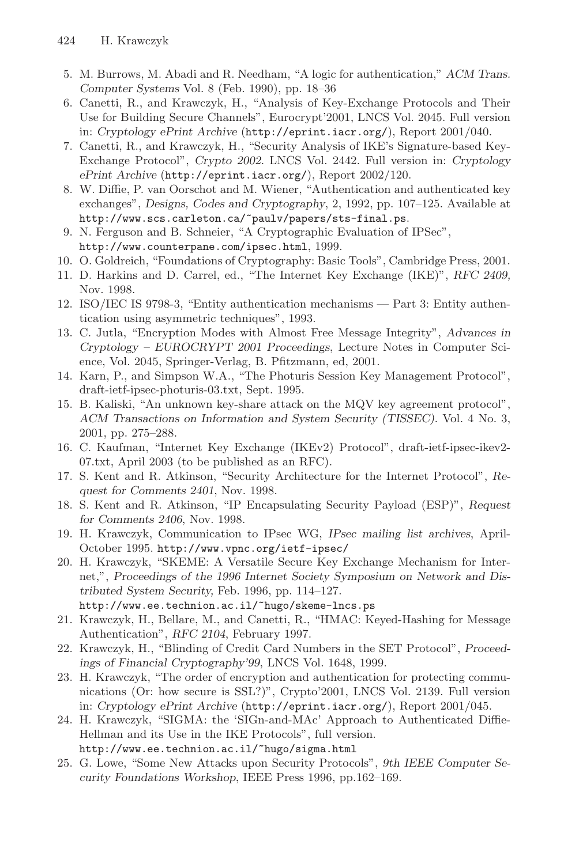- <span id="page-24-0"></span>5. M. Burrows, M. Abadi and R. Needham, "A logic for authentication," *ACM Trans. Computer Systems* Vol. 8 (Feb. 1990), pp. 18–36
- 6. Canetti, R., and Krawczyk, H., "Analysis of Key-Exchange Protocols and Their Use for Building Secure Channels", Eurocrypt'2001, LNCS Vol. 2045. Full version in: *Cryptology ePrint Archive* (http://eprint.iacr.org/), Report 2001/040.
- 7. Canetti, R., and Krawczyk, H., "Security Analysis of IKE's Signature-based Key-Exchange Protocol", *Crypto 2002*. LNCS Vol. 2442. Full version in: *Cryptology ePrint Archive* (http://eprint.iacr.org/), Report 2002/120.
- 8. W. Diffie, P. van Oorschot and M. Wiener, "Authentication and authenticated key exchanges", *Designs, Codes and Cryptography*, 2, 1992, pp. 107–125. Available at http://www.scs.carleton.ca/˜paulv/papers/sts-final.ps.
- 9. N. Ferguson and B. Schneier, "A Cryptographic Evaluation of IPSec", http://www.counterpane.com/ipsec.html, 1999.
- 10. O. Goldreich, "Foundations of Cryptography: Basic Tools", Cambridge Press, 2001.
- 11. D. Harkins and D. Carrel, ed., "The Internet Key Exchange (IKE)", *RFC 2409,* Nov. 1998.
- 12. ISO/IEC IS 9798-3, "Entity authentication mechanisms Part 3: Entity authentication using asymmetric techniques", 1993.
- 13. C. Jutla, "Encryption Modes with Almost Free Message Integrity", *Advances in Cryptology – EUROCRYPT 2001 Proceedings*, Lecture Notes in Computer Science, Vol. 2045, Springer-Verlag, B. Pfitzmann, ed, 2001.
- 14. Karn, P., and Simpson W.A., "The Photuris Session Key Management Protocol", draft-ietf-ipsec-photuris-03.txt, Sept. 1995.
- 15. B. Kaliski, "An unknown key-share attack on the MQV key agreement protocol", *ACM Transactions on Information and System Security (TISSEC)*. Vol. 4 No. 3, 2001, pp. 275–288.
- 16. C. Kaufman, "Internet Key Exchange (IKEv2) Protocol", draft-ietf-ipsec-ikev2- 07.txt, April 2003 (to be published as an RFC).
- 17. S. Kent and R. Atkinson, "Security Architecture for the Internet Protocol", *Request for Comments 2401*, Nov. 1998.
- 18. S. Kent and R. Atkinson, "IP Encapsulating Security Payload (ESP)", *Request for Comments 2406*, Nov. 1998.
- 19. H. Krawczyk, Communication to IPsec WG, *IPsec mailing list archives*, April-October 1995. http://www.vpnc.org/ietf-ipsec/
- 20. H. Krawczyk, "SKEME: A Versatile Secure Key Exchange Mechanism for Internet,", *Proceedings of the 1996 Internet Society Symposium on Network and Distributed System Security,* Feb. 1996, pp. 114–127.
	- http://www.ee.technion.ac.il/˜hugo/skeme-lncs.ps
- 21. Krawczyk, H., Bellare, M., and Canetti, R., "HMAC: Keyed-Hashing for Message Authentication", *RFC 2104*, February 1997.
- 22. Krawczyk, H., "Blinding of Credit Card Numbers in the SET Protocol", *Proceedings of Financial Cryptography'99*, LNCS Vol. 1648, 1999.
- 23. H. Krawczyk, "The order of encryption and authentication for protecting communications (Or: how secure is SSL?)", Crypto'2001, LNCS Vol. 2139. Full version in: *Cryptology ePrint Archive* (http://eprint.iacr.org/), Report 2001/045.
- 24. H. Krawczyk, "SIGMA: the 'SIGn-and-MAc' Approach to Authenticated Diffie-Hellman and its Use in the IKE Protocols", full version. http://www.ee.technion.ac.il/˜hugo/sigma.html
- 25. G. Lowe, "Some New Attacks upon Security Protocols", *9th IEEE Computer Security Foundations Workshop*, IEEE Press 1996, pp.162–169.